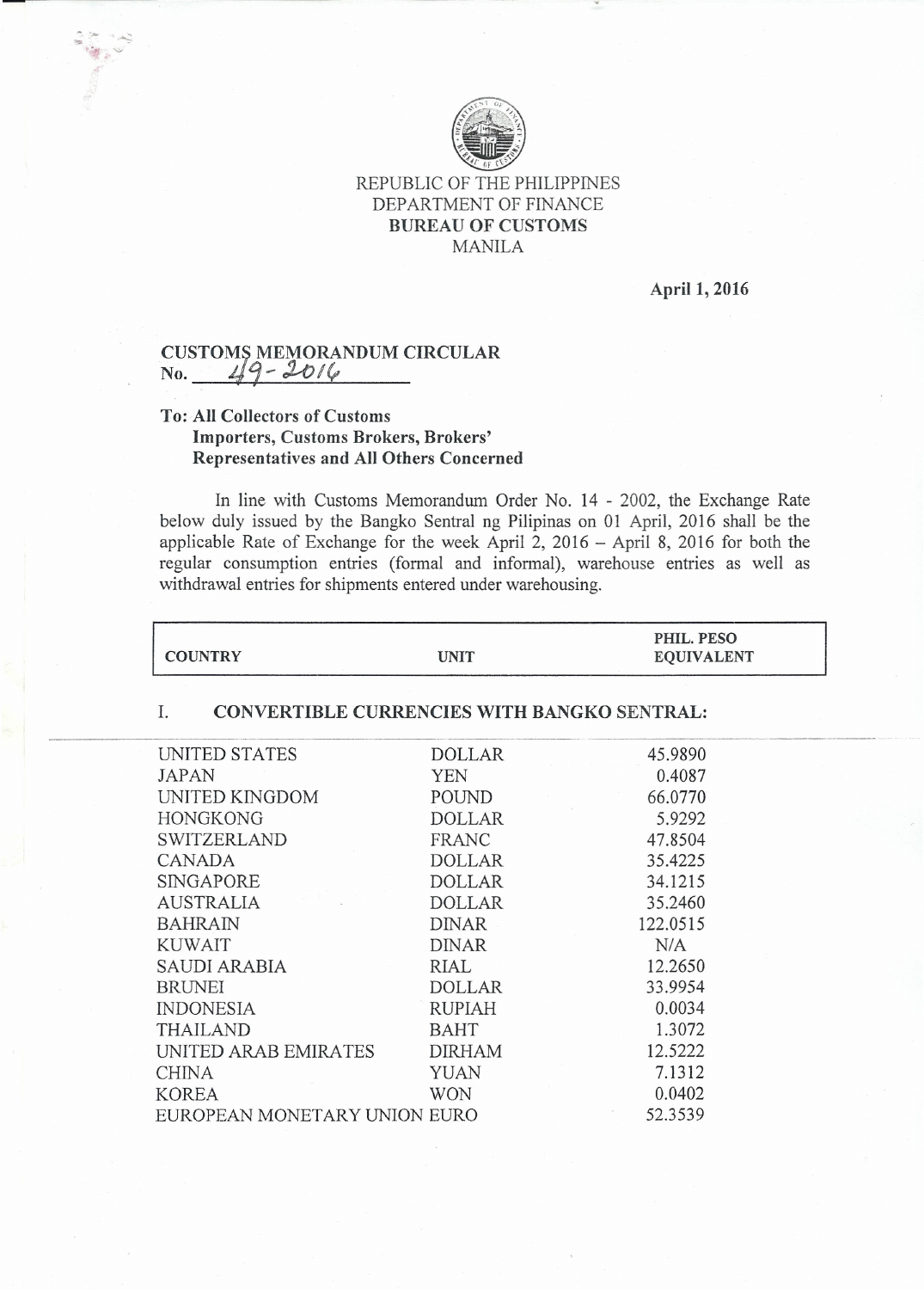

### REPUBLIC OF THE PHILIPPINES DEPARTMENT OF FINANCE BUREAU OF CUSTOMS MANILA

April 1, 2016

# CUSTOMS MEMORANDUM CIRCULA<br>No. 49 - 2016

## To: All Collectors of Customs Importers, Customs Brokers, Brokers' Representatives and All Others Concerned

In line with Customs Memorandum Order No. 14 - 2002, the Exchange Rate below duly issued by the Bangko Sentral ng Pilipinas on 01 April, 2016 shall be the applicable Rate of Exchange for the week April 2, 2016 - April 8, 2016 for both the regular consumption entries (formal and informal), warehouse entries as well as withdrawal entries for shipments entered under warehousing.

|                |      | PHIL. PESO        |  |
|----------------|------|-------------------|--|
| <b>COUNTRY</b> | UNIT | <b>EQUIVALENT</b> |  |

#### I. CONVERTIBLE CURRENCIES WITH BANGKO SENTRAL:

| UNITED STATES                | DOLLAR        | 45.9890  |  |
|------------------------------|---------------|----------|--|
| <b>JAPAN</b>                 | YEN           | 0.4087   |  |
| UNITED KINGDOM               | POUND         | 66.0770  |  |
| <b>HONGKONG</b>              | DOLLAR        | 5.9292   |  |
| <b>SWITZERLAND</b>           | FRANC         | 47.8504  |  |
| CANADA                       | DOLLAR        | 35.4225  |  |
| SINGAPORE                    | <b>DOLLAR</b> | 34.1215  |  |
| <b>AUSTRALIA</b>             | <b>DOLLAR</b> | 35.2460  |  |
| <b>BAHRAIN</b>               | <b>DINAR</b>  | 122.0515 |  |
| <b>KUWAIT</b>                | <b>DINAR</b>  | N/A      |  |
| SAUDI ARABIA                 | RIAL          | 12.2650  |  |
| <b>BRUNEI</b>                | <b>DOLLAR</b> | 33.9954  |  |
| <b>INDONESIA</b>             | <b>RUPIAH</b> | 0.0034   |  |
| <b>THAILAND</b>              | <b>BAHT</b>   | 1.3072   |  |
| UNITED ARAB EMIRATES         | <b>DIRHAM</b> | 12.5222  |  |
| <b>CHINA</b>                 | YUAN          | 7.1312   |  |
| <b>KOREA</b>                 | WON           | 0.0402   |  |
| EUROPEAN MONETARY UNION EURO | 52.3539       |          |  |